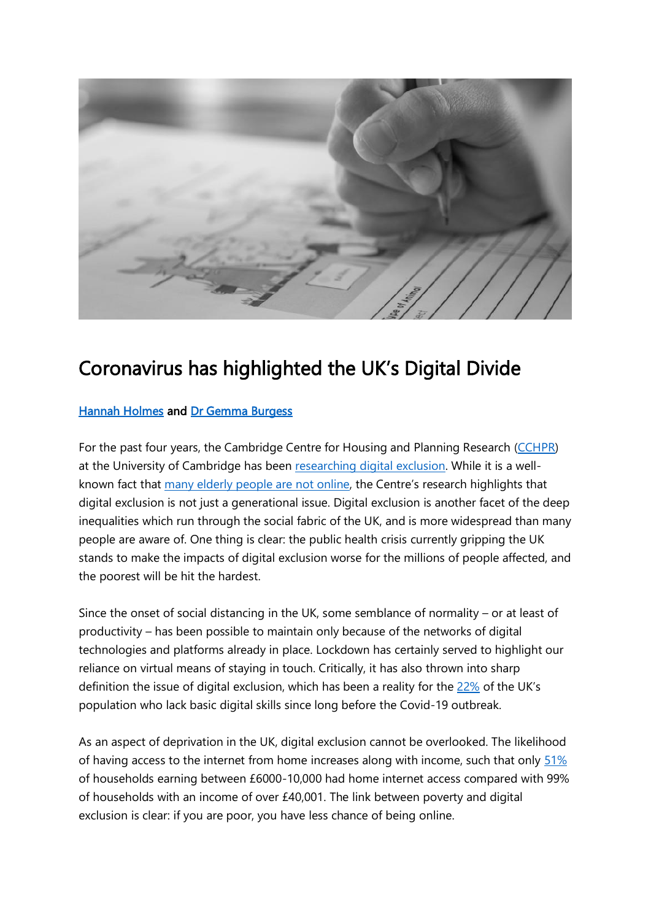

## Coronavirus has highlighted the UK's Digital Divide

## [Hannah Holmes](https://www.cchpr.landecon.cam.ac.uk/directory/hannah-holmes) and [Dr Gemma Burgess](https://www.cchpr.landecon.cam.ac.uk/directory/centre-director)

For the past four years, the Cambridge Centre for Housing and Planning Research [\(CCHPR\)](https://www.cchpr.landecon.cam.ac.uk/) at the University of Cambridge has been [researching digital exclusion.](https://www.cchpr.landecon.cam.ac.uk/Research/Start-Year/2017/building_better_opportunities_new_horizons) While it is a wellknown fact that [many elderly people are not online,](https://www.ageuk.org.uk/globalassets/age-uk/documents/reports-and-publications/age_uk_digital_inclusion_evidence_review_2018.pdf) the Centre's research highlights that digital exclusion is not just a generational issue. Digital exclusion is another facet of the deep inequalities which run through the social fabric of the UK, and is more widespread than many people are aware of. One thing is clear: the public health crisis currently gripping the UK stands to make the impacts of digital exclusion worse for the millions of people affected, and the poorest will be hit the hardest.

Since the onset of social distancing in the UK, some semblance of normality – or at least of productivity – has been possible to maintain only because of the networks of digital technologies and platforms already in place. Lockdown has certainly served to highlight our reliance on virtual means of staying in touch. Critically, it has also thrown into sharp definition the issue of digital exclusion, which has been a reality for the [22%](https://www.lloydsbank.com/assets/media/pdfs/banking_with_us/whats-happening/lb-consumer-digital-index-2019-report.pdf) of the UK's population who lack basic digital skills since long before the Covid-19 outbreak.

As an aspect of deprivation in the UK, digital exclusion cannot be overlooked. The likelihood of having access to the internet from home increases along with income, such that only [51%](https://www.ons.gov.uk/peoplepopulationandcommunity/householdcharacteristics/homeinternetandsocialmediausage/articles/exploringtheuksdigitaldivide/2019-03-04) of households earning between £6000-10,000 had home internet access compared with 99% of households with an income of over £40,001. The link between poverty and digital exclusion is clear: if you are poor, you have less chance of being online.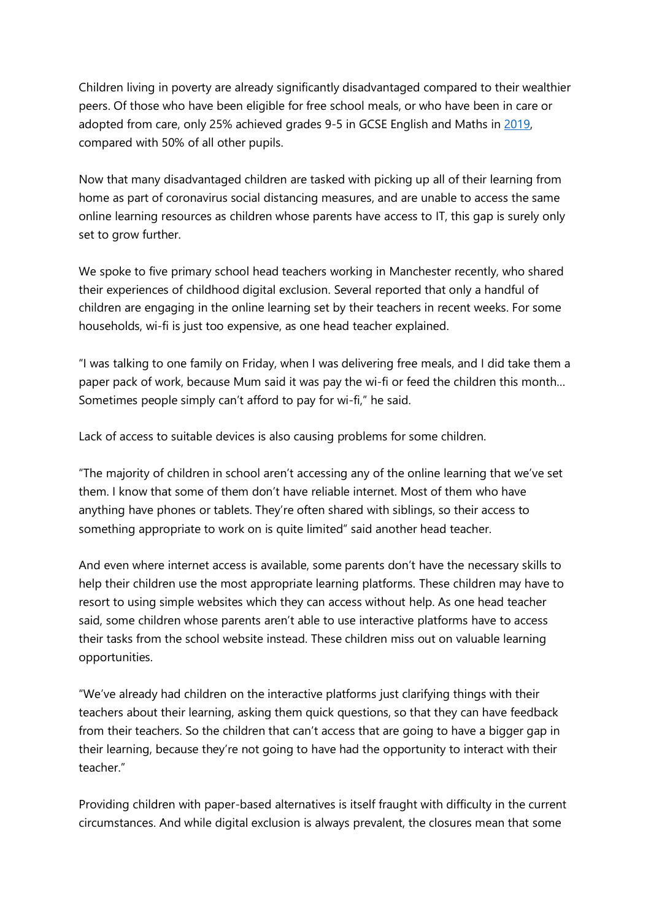Children living in poverty are already significantly disadvantaged compared to their wealthier peers. Of those who have been eligible for free school meals, or who have been in care or adopted from care, only 25% achieved grades 9-5 in GCSE English and Maths in [2019,](https://assets.publishing.service.gov.uk/government/uploads/system/uploads/attachment_data/file/863815/2019_KS4_revised_text.pdf) compared with 50% of all other pupils.

Now that many disadvantaged children are tasked with picking up all of their learning from home as part of coronavirus social distancing measures, and are unable to access the same online learning resources as children whose parents have access to IT, this gap is surely only set to grow further.

We spoke to five primary school head teachers working in Manchester recently, who shared their experiences of childhood digital exclusion. Several reported that only a handful of children are engaging in the online learning set by their teachers in recent weeks. For some households, wi-fi is just too expensive, as one head teacher explained.

"I was talking to one family on Friday, when I was delivering free meals, and I did take them a paper pack of work, because Mum said it was pay the wi-fi or feed the children this month… Sometimes people simply can't afford to pay for wi-fi," he said.

Lack of access to suitable devices is also causing problems for some children.

"The majority of children in school aren't accessing any of the online learning that we've set them. I know that some of them don't have reliable internet. Most of them who have anything have phones or tablets. They're often shared with siblings, so their access to something appropriate to work on is quite limited" said another head teacher.

And even where internet access is available, some parents don't have the necessary skills to help their children use the most appropriate learning platforms. These children may have to resort to using simple websites which they can access without help. As one head teacher said, some children whose parents aren't able to use interactive platforms have to access their tasks from the school website instead. These children miss out on valuable learning opportunities.

"We've already had children on the interactive platforms just clarifying things with their teachers about their learning, asking them quick questions, so that they can have feedback from their teachers. So the children that can't access that are going to have a bigger gap in their learning, because they're not going to have had the opportunity to interact with their teacher"

Providing children with paper-based alternatives is itself fraught with difficulty in the current circumstances. And while digital exclusion is always prevalent, the closures mean that some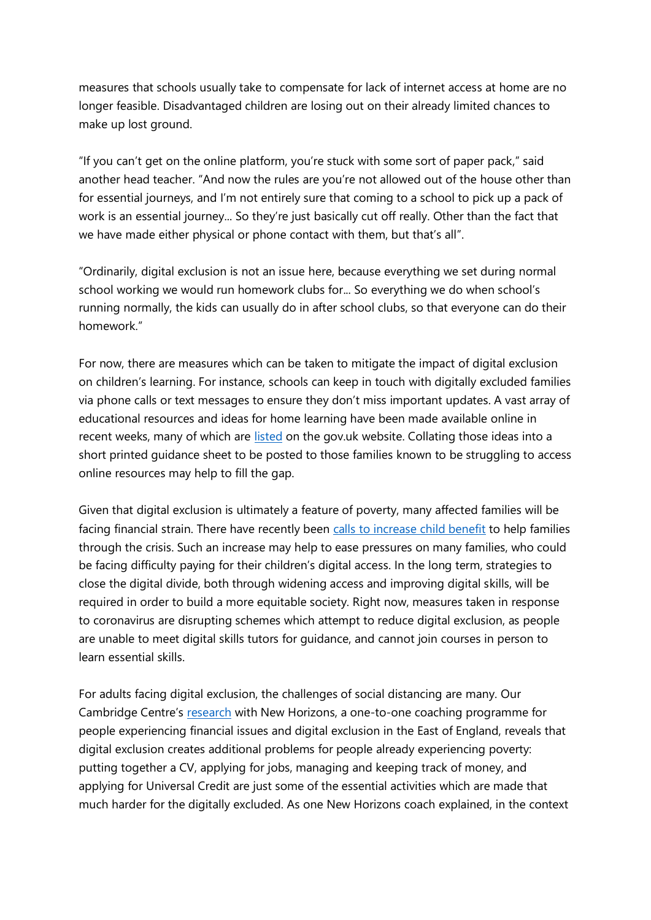measures that schools usually take to compensate for lack of internet access at home are no longer feasible. Disadvantaged children are losing out on their already limited chances to make up lost ground.

"If you can't get on the online platform, you're stuck with some sort of paper pack," said another head teacher. "And now the rules are you're not allowed out of the house other than for essential journeys, and I'm not entirely sure that coming to a school to pick up a pack of work is an essential journey... So they're just basically cut off really. Other than the fact that we have made either physical or phone contact with them, but that's all".

"Ordinarily, digital exclusion is not an issue here, because everything we set during normal school working we would run homework clubs for... So everything we do when school's running normally, the kids can usually do in after school clubs, so that everyone can do their homework."

For now, there are measures which can be taken to mitigate the impact of digital exclusion on children's learning. For instance, schools can keep in touch with digitally excluded families via phone calls or text messages to ensure they don't miss important updates. A vast array of educational resources and ideas for home learning have been made available online in recent weeks, many of which are [listed](https://www.gov.uk/government/publications/coronavirus-covid-19-online-education-resources/coronavirus-covid-19-list-of-online-education-resources-for-home-education) on the gov.uk website. Collating those ideas into a short printed guidance sheet to be posted to those families known to be struggling to access online resources may help to fill the gap.

Given that digital exclusion is ultimately a feature of poverty, many affected families will be facing financial strain. There have recently been [calls to increase child benefit](https://www.scottishhousingnews.com/article/charities-call-for-emergency-increase-in-child-benefit) to help families through the crisis. Such an increase may help to ease pressures on many families, who could be facing difficulty paying for their children's digital access. In the long term, strategies to close the digital divide, both through widening access and improving digital skills, will be required in order to build a more equitable society. Right now, measures taken in response to coronavirus are disrupting schemes which attempt to reduce digital exclusion, as people are unable to meet digital skills tutors for guidance, and cannot join courses in person to learn essential skills.

For adults facing digital exclusion, the challenges of social distancing are many. Our Cambridge Centre's [research](https://www.cchpr.landecon.cam.ac.uk/Research/Start-Year/2017/building_better_opportunities_new_horizons/tackling_digital_finanical_employment_exclusion) with New Horizons, a one-to-one coaching programme for people experiencing financial issues and digital exclusion in the East of England, reveals that digital exclusion creates additional problems for people already experiencing poverty: putting together a CV, applying for jobs, managing and keeping track of money, and applying for Universal Credit are just some of the essential activities which are made that much harder for the digitally excluded. As one New Horizons coach explained, in the context